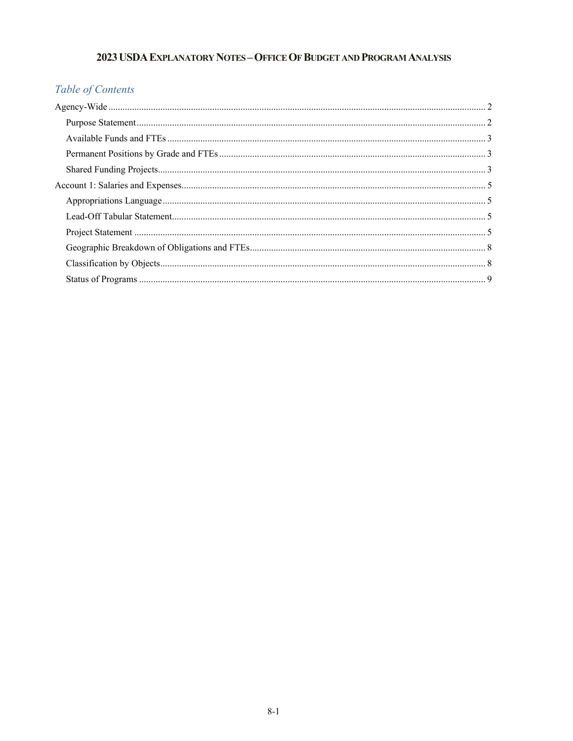# 2023 USDA EXPLANATORY NOTES - OFFICE OF BUDGET AND PROGRAM ANALYSIS

# Table of Contents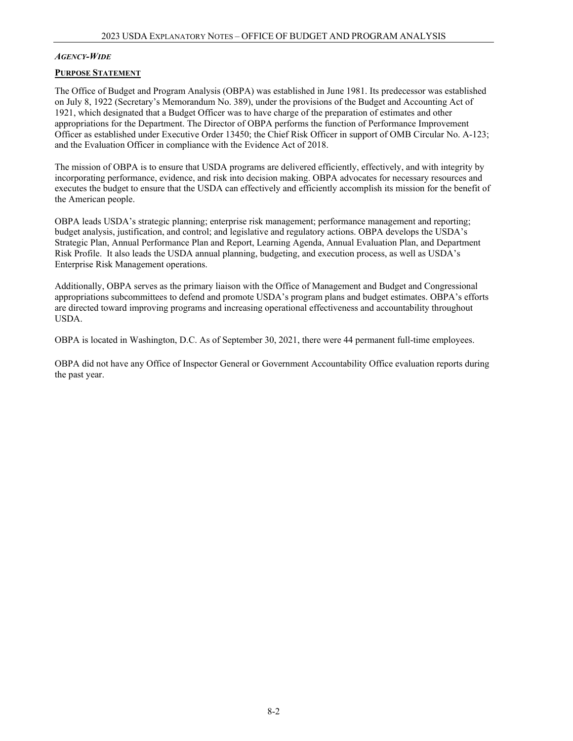### <span id="page-1-0"></span>*AGENCY-WIDE*

### <span id="page-1-1"></span>**PURPOSE STATEMENT**

The Office of Budget and Program Analysis (OBPA) was established in June 1981. Its predecessor was established on July 8, 1922 (Secretary's Memorandum No. 389), under the provisions of the Budget and Accounting Act of 1921, which designated that a Budget Officer was to have charge of the preparation of estimates and other appropriations for the Department. The Director of OBPA performs the function of Performance Improvement Officer as established under Executive Order 13450; the Chief Risk Officer in support of OMB Circular No. A-123; and the Evaluation Officer in compliance with the Evidence Act of 2018.

The mission of OBPA is to ensure that USDA programs are delivered efficiently, effectively, and with integrity by incorporating performance, evidence, and risk into decision making. OBPA advocates for necessary resources and executes the budget to ensure that the USDA can effectively and efficiently accomplish its mission for the benefit of the American people.

OBPA leads USDA's strategic planning; enterprise risk management; performance management and reporting; budget analysis, justification, and control; and legislative and regulatory actions. OBPA develops the USDA's Strategic Plan, Annual Performance Plan and Report, Learning Agenda, Annual Evaluation Plan, and Department Risk Profile. It also leads the USDA annual planning, budgeting, and execution process, as well as USDA's Enterprise Risk Management operations.

Additionally, OBPA serves as the primary liaison with the Office of Management and Budget and Congressional appropriations subcommittees to defend and promote USDA's program plans and budget estimates. OBPA's efforts are directed toward improving programs and increasing operational effectiveness and accountability throughout USDA.

OBPA is located in Washington, D.C. As of September 30, 2021, there were 44 permanent full-time employees. 

<span id="page-1-2"></span>OBPA did not have any Office of Inspector General or Government Accountability Office evaluation reports during the past year.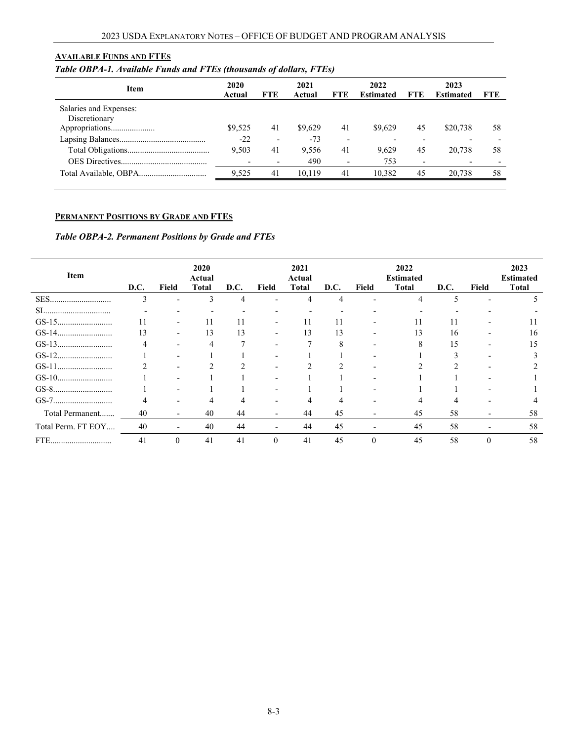### **AVAILABLE FUNDS AND FTES**

# *Table OBPA-1. Available Funds and FTEs (thousands of dollars, FTEs)*

<span id="page-2-0"></span>

| <b>Item</b>            | 2020<br>Actual | <b>FTE</b>               | 2021<br>Actual | <b>FTE</b>               | 2022<br><b>Estimated</b> | <b>FTE</b> | 2023<br><b>Estimated</b> | FTE |
|------------------------|----------------|--------------------------|----------------|--------------------------|--------------------------|------------|--------------------------|-----|
| Salaries and Expenses: |                |                          |                |                          |                          |            |                          |     |
| Discretionary          |                |                          |                |                          |                          |            |                          |     |
| Appropriations         | \$9,525        | 41                       | \$9,629        | 41                       | \$9.629                  | 45         | \$20,738                 | 58  |
|                        | $-22$          | $\overline{\phantom{a}}$ | $-73$          | $\overline{\phantom{0}}$ |                          |            |                          |     |
|                        | 9.503          | 41                       | 9.556          | 41                       | 9.629                    | 45         | 20,738                   | 58  |
|                        |                |                          | 490            | $\overline{\phantom{0}}$ | 753                      |            |                          |     |
|                        | 9,525          | 41                       | 10.119         | 41                       | 10.382                   | 45         | 20.738                   | 58  |
|                        |                |                          |                |                          |                          |            |                          |     |

# **PERMANENT POSITIONS BY GRADE AND FTES**

# *Table OBPA-2. Permanent Positions by Grade and FTEs*

<span id="page-2-1"></span>

| Item               | D.C. | Field                    | 2020<br>Actual<br><b>Total</b> | D.C. | Field    | 2021<br>Actual<br><b>Total</b> | D.C. | Field | 2022<br><b>Estimated</b><br><b>Total</b> | D.C. | Field | 2023<br><b>Estimated</b><br><b>Total</b> |
|--------------------|------|--------------------------|--------------------------------|------|----------|--------------------------------|------|-------|------------------------------------------|------|-------|------------------------------------------|
| SES                | 3    | $\qquad \qquad$          | 3                              | 4    |          | 4                              | 4    |       | 4                                        |      |       |                                          |
|                    |      | $\overline{\phantom{0}}$ |                                |      |          |                                |      |       |                                          |      |       |                                          |
|                    |      | $\qquad \qquad$          |                                |      |          |                                |      |       |                                          |      |       |                                          |
|                    | 13   | $\overline{\phantom{0}}$ | 13                             | 13   |          | 13                             | 13   |       | 13                                       | 16   |       | 16                                       |
|                    | 4    |                          |                                |      |          |                                | 8    |       |                                          | 15   |       | 15                                       |
|                    |      | $\overline{\phantom{0}}$ |                                |      |          |                                |      |       |                                          |      |       |                                          |
|                    |      |                          |                                |      |          |                                | ◠    |       |                                          |      |       |                                          |
|                    |      |                          |                                |      |          |                                |      |       |                                          |      |       |                                          |
| GS-8               |      |                          |                                |      |          |                                |      |       |                                          |      |       |                                          |
|                    |      | $\overline{\phantom{0}}$ |                                |      |          |                                | Δ    |       |                                          |      |       |                                          |
| Total Permanent    | 40   | $\overline{\phantom{0}}$ | 40                             | 44   |          | 44                             | 45   |       | 45                                       | 58   |       | 58                                       |
| Total Perm. FT EOY | 40   |                          | 40                             | 44   |          | 44                             | 45   |       | 45                                       | 58   |       | 58                                       |
| FTE                | 41   |                          | 41                             | 41   | $\Omega$ | 41                             | 45   |       | 45                                       | 58   |       | 58                                       |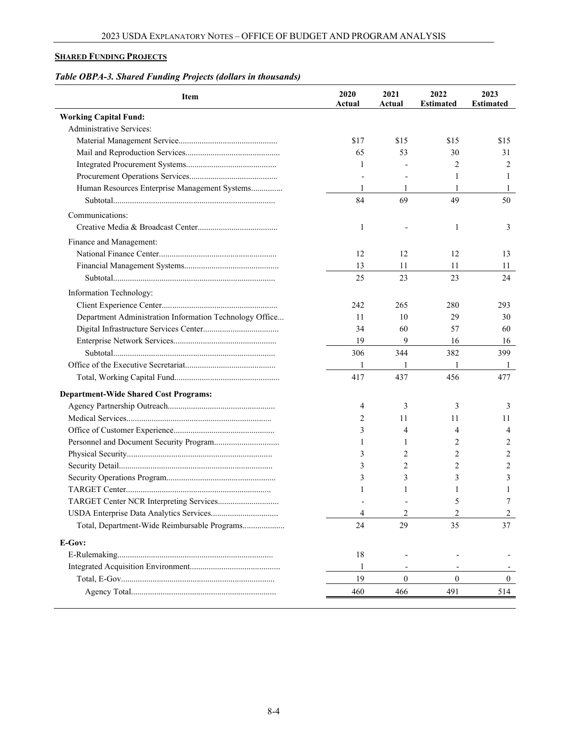# **SHARED FUNDING PROJECTS**

# *Table OBPA-3. Shared Funding Projects (dollars in thousands)*

| Item                                                    | 2020<br>Actual | 2021<br>Actual | 2022<br><b>Estimated</b> | 2023<br><b>Estimated</b> |
|---------------------------------------------------------|----------------|----------------|--------------------------|--------------------------|
| <b>Working Capital Fund:</b>                            |                |                |                          |                          |
| Administrative Services:                                |                |                |                          |                          |
|                                                         | \$17           | \$15           | \$15                     | \$15                     |
|                                                         | 65             | 53             | 30                       | 31                       |
|                                                         | 1              |                | 2                        | 2                        |
|                                                         |                |                | 1                        | 1                        |
| Human Resources Enterprise Management Systems           | 1              | 1              | 1                        | 1                        |
|                                                         | 84             | 69             | 49                       | 50                       |
| Communications:                                         |                |                |                          |                          |
|                                                         | 1              |                | 1                        | 3                        |
| Finance and Management:                                 |                |                |                          |                          |
|                                                         | 12             | 12             | 12                       | 13                       |
|                                                         | 13             | 11             | 11                       | 11                       |
|                                                         | 25             | 23             | 23                       | 24                       |
|                                                         |                |                |                          |                          |
| Information Technology:                                 |                |                |                          |                          |
|                                                         | 242            | 265            | 280                      | 293                      |
| Department Administration Information Technology Office | 11             | 10             | 29                       | 30                       |
|                                                         | 34             | 60             | 57                       | 60                       |
|                                                         | 19             | 9              | 16                       | 16                       |
|                                                         | 306            | 344            | 382                      | 399                      |
|                                                         | 1              |                | 1                        | 1                        |
|                                                         | 417            | 437            | 456                      | 477                      |
| <b>Department-Wide Shared Cost Programs:</b>            |                |                |                          |                          |
|                                                         | 4              | 3              | 3                        | 3                        |
|                                                         | 2              | 11             | 11                       | 11                       |
|                                                         | 3              | 4              | 4                        | 4                        |
|                                                         | 1              | 1              | 2                        | 2                        |
|                                                         | 3              | 2              | $\overline{c}$           | 2                        |
|                                                         | 3              | 2              | $\overline{2}$           | 2                        |
|                                                         | 3              | 3              | 3                        | 3                        |
|                                                         |                |                | 1                        | 1                        |
|                                                         |                |                | 5                        | 7                        |
|                                                         | 4              | 2              | 2                        | 2                        |
| Total, Department-Wide Reimbursable Programs            | 24             | 29             | 35                       | 37                       |
| E-Gov:                                                  |                |                |                          |                          |
|                                                         | 18             |                |                          |                          |
|                                                         | -1             |                |                          |                          |
|                                                         | 19             | $\mathbf{0}$   | $\mathbf{0}$             | $\mathbf{0}$             |
|                                                         | 460            | 466            | 491                      | 514                      |
|                                                         |                |                |                          |                          |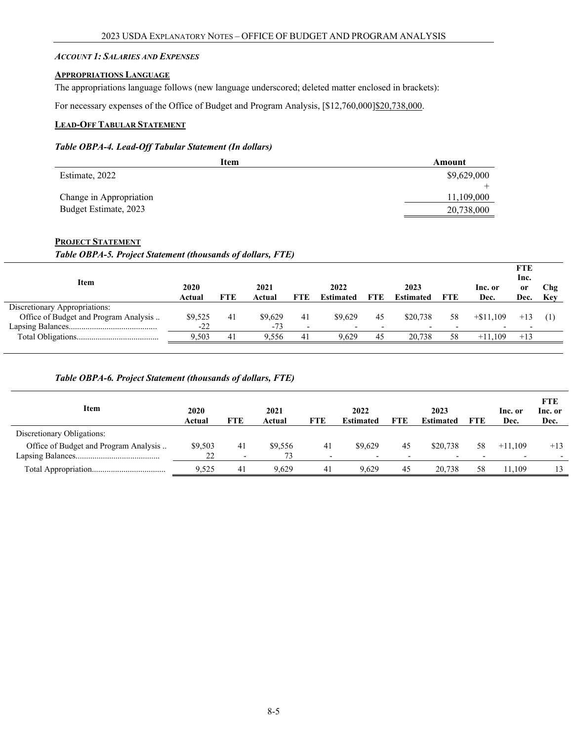#### <span id="page-4-0"></span>*ACCOUNT 1: SALARIES AND EXPENSES*

#### <span id="page-4-1"></span>**APPROPRIATIONS LANGUAGE**

The appropriations language follows (new language underscored; deleted matter enclosed in brackets):

For necessary expenses of the Office of Budget and Program Analysis, [\$12,760,000]\$20,738,000.

# <span id="page-4-2"></span>**LEAD-OFF TABULAR STATEMENT**

### *Table OBPA-4. Lead-Off Tabular Statement (In dollars)*

| Item                    | Amount      |
|-------------------------|-------------|
| Estimate, 2022          | \$9,629,000 |
|                         |             |
| Change in Appropriation | 11,109,000  |
| Budget Estimate, 2023   | 20,738,000  |

### <span id="page-4-3"></span>**PROJECT STATEMENT**

*Table OBPA-5. Project Statement (thousands of dollars, FTE)*

| Item                                  | 2020<br>Actual | <b>FTE</b> | 2021<br>Actual | <b>FTE</b>               | 2022<br><b>Estimated</b> | <b>FTE</b> | 2023<br><b>Estimated</b> | <b>FTE</b> | Inc. or<br>Dec. | <b>FTE</b><br>Inc.<br>0r<br>Dec. | Chg<br>Kev |
|---------------------------------------|----------------|------------|----------------|--------------------------|--------------------------|------------|--------------------------|------------|-----------------|----------------------------------|------------|
| Discretionary Appropriations:         |                |            |                |                          |                          |            |                          |            |                 |                                  |            |
| Office of Budget and Program Analysis | \$9,525        | 41         | \$9,629        | 41                       | \$9.629                  | 45         | \$20,738                 | 58         | $+$ \$11,109    | $+13$                            |            |
|                                       | $-22$          |            | $-73$          | $\overline{\phantom{a}}$ |                          |            |                          |            |                 |                                  |            |
|                                       | 9.503          | 41         | 9.556          | 41                       | 9.629                    | 45         | 20,738                   | 58         | $+11.109$       | $+13$                            |            |

# *Table OBPA-6. Project Statement (thousands of dollars, FTE)*

| Item                                  | 2020<br>Actual | FTE                      | 2021<br>Actual | FTE | 2022<br><b>Estimated</b> | <b>FTE</b> | 2023<br><b>Estimated</b> | <b>FTE</b> | Inc. or<br>Dec. | FTE<br>Inc. or<br>Dec. |
|---------------------------------------|----------------|--------------------------|----------------|-----|--------------------------|------------|--------------------------|------------|-----------------|------------------------|
| Discretionary Obligations:            |                |                          |                |     |                          |            |                          |            |                 |                        |
| Office of Budget and Program Analysis | \$9,503        | 41                       | \$9,556        | 41  | \$9,629                  | 45         | \$20,738                 | 58         | $+11.109$       | $+13$                  |
|                                       | 22             | $\overline{\phantom{0}}$ | 73             | -   | $\overline{\phantom{0}}$ |            |                          |            |                 |                        |
|                                       | 9.525          | -41                      | 9.629          | 41  | 9.629                    | 45         | 20,738                   | 58         | 1.109ء          | 13                     |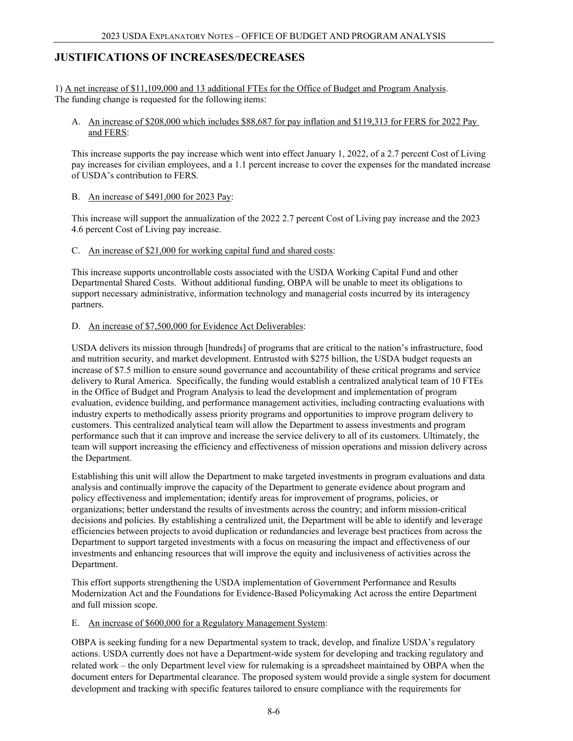# **JUSTIFICATIONS OF INCREASES/DECREASES**

1) A net increase of \$11,109,000 and 13 additional FTEs for the Office of Budget and Program Analysis. The funding change is requested for the following items:

### A. An increase of \$208,000 which includes \$88,687 for pay inflation and \$119,313 for FERS for 2022 Pay and FERS:

This increase supports the pay increase which went into effect January 1, 2022, of a 2.7 percent Cost of Living pay increases for civilian employees, and a 1.1 percent increase to cover the expenses for the mandated increase of USDA's contribution to FERS*.*

### B. An increase of \$491,000 for 2023 Pay:

This increase will support the annualization of the 2022 2.7 percent Cost of Living pay increase and the 2023 4.6 percent Cost of Living pay increase.

### C. An increase of \$21,000 for working capital fund and shared costs:

This increase supports uncontrollable costs associated with the USDA Working Capital Fund and other Departmental Shared Costs. Without additional funding, OBPA will be unable to meet its obligations to support necessary administrative, information technology and managerial costs incurred by its interagency partners.

# D. An increase of \$7,500,000 for Evidence Act Deliverables:

USDA delivers its mission through [hundreds] of programs that are critical to the nation's infrastructure, food and nutrition security, and market development. Entrusted with \$275 billion, the USDA budget requests an increase of \$7.5 million to ensure sound governance and accountability of these critical programs and service delivery to Rural America. Specifically, the funding would establish a centralized analytical team of 10 FTEs in the Office of Budget and Program Analysis to lead the development and implementation of program evaluation, evidence building, and performance management activities, including contracting evaluations with industry experts to methodically assess priority programs and opportunities to improve program delivery to customers. This centralized analytical team will allow the Department to assess investments and program performance such that it can improve and increase the service delivery to all of its customers. Ultimately, the team will support increasing the efficiency and effectiveness of mission operations and mission delivery across the Department.

Establishing this unit will allow the Department to make targeted investments in program evaluations and data analysis and continually improve the capacity of the Department to generate evidence about program and policy effectiveness and implementation; identify areas for improvement of programs, policies, or organizations; better understand the results of investments across the country; and inform mission-critical decisions and policies. By establishing a centralized unit, the Department will be able to identify and leverage efficiencies between projects to avoid duplication or redundancies and leverage best practices from across the Department to support targeted investments with a focus on measuring the impact and effectiveness of our investments and enhancing resources that will improve the equity and inclusiveness of activities across the Department.

This effort supports strengthening the USDA implementation of Government Performance and Results Modernization Act and the Foundations for Evidence-Based Policymaking Act across the entire Department and full mission scope.

# E. An increase of \$600,000 for a Regulatory Management System:

OBPA is seeking funding for a new Departmental system to track, develop, and finalize USDA's regulatory actions. USDA currently does not have a Department-wide system for developing and tracking regulatory and related work – the only Department level view for rulemaking is a spreadsheet maintained by OBPA when the document enters for Departmental clearance. The proposed system would provide a single system for document development and tracking with specific features tailored to ensure compliance with the requirements for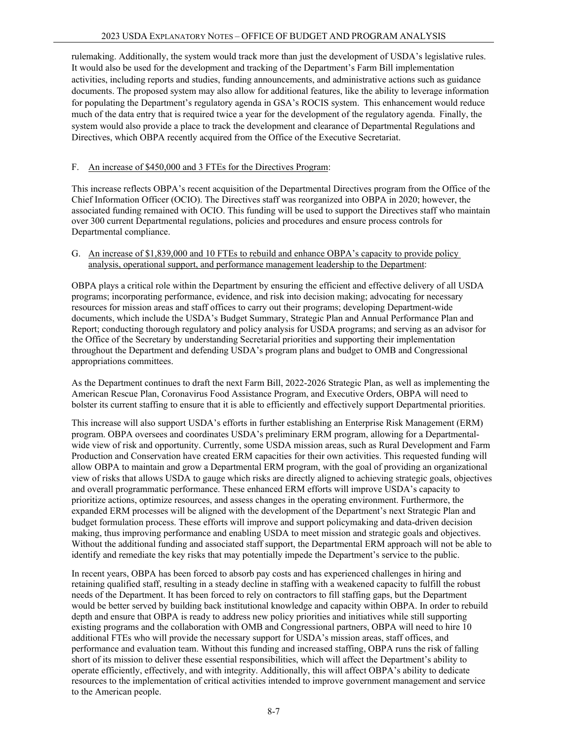rulemaking. Additionally, the system would track more than just the development of USDA's legislative rules.  It would also be used for the development and tracking of the Department's Farm Bill implementation activities, including reports and studies, funding announcements, and administrative actions such as guidance documents. The proposed system may also allow for additional features, like the ability to leverage information for populating the Department's regulatory agenda in GSA's ROCIS system.  This enhancement would reduce much of the data entry that is required twice a year for the development of the regulatory agenda.  Finally, the system would also provide a place to track the development and clearance of Departmental Regulations and Directives, which OBPA recently acquired from the Office of the Executive Secretariat.

# F. An increase of \$450,000 and 3 FTEs for the Directives Program:

This increase reflects OBPA's recent acquisition of the Departmental Directives program from the Office of the Chief Information Officer (OCIO). The Directives staff was reorganized into OBPA in 2020; however, the associated funding remained with OCIO. This funding will be used to support the Directives staff who maintain over 300 current Departmental regulations, policies and procedures and ensure process controls for Departmental compliance.

### G. An increase of \$1,839,000 and 10 FTEs to rebuild and enhance OBPA's capacity to provide policy analysis, operational support, and performance management leadership to the Department:

OBPA plays a critical role within the Department by ensuring the efficient and effective delivery of all USDA programs; incorporating performance, evidence, and risk into decision making; advocating for necessary resources for mission areas and staff offices to carry out their programs; developing Department-wide documents, which include the USDA's Budget Summary, Strategic Plan and Annual Performance Plan and Report; conducting thorough regulatory and policy analysis for USDA programs; and serving as an advisor for the Office of the Secretary by understanding Secretarial priorities and supporting their implementation throughout the Department and defending USDA's program plans and budget to OMB and Congressional appropriations committees.

As the Department continues to draft the next Farm Bill, 2022-2026 Strategic Plan, as well as implementing the American Rescue Plan, Coronavirus Food Assistance Program, and Executive Orders, OBPA will need to bolster its current staffing to ensure that it is able to efficiently and effectively support Departmental priorities.

This increase will also support USDA's efforts in further establishing an Enterprise Risk Management (ERM) program. OBPA oversees and coordinates USDA's preliminary ERM program, allowing for a Departmentalwide view of risk and opportunity. Currently, some USDA mission areas, such as Rural Development and Farm Production and Conservation have created ERM capacities for their own activities. This requested funding will allow OBPA to maintain and grow a Departmental ERM program, with the goal of providing an organizational view of risks that allows USDA to gauge which risks are directly aligned to achieving strategic goals, objectives and overall programmatic performance. These enhanced ERM efforts will improve USDA's capacity to prioritize actions, optimize resources, and assess changes in the operating environment. Furthermore, the expanded ERM processes will be aligned with the development of the Department's next Strategic Plan and budget formulation process. These efforts will improve and support policymaking and data-driven decision making, thus improving performance and enabling USDA to meet mission and strategic goals and objectives. Without the additional funding and associated staff support, the Departmental ERM approach will not be able to identify and remediate the key risks that may potentially impede the Department's service to the public.

In recent years, OBPA has been forced to absorb pay costs and has experienced challenges in hiring and retaining qualified staff, resulting in a steady decline in staffing with a weakened capacity to fulfill the robust needs of the Department. It has been forced to rely on contractors to fill staffing gaps, but the Department would be better served by building back institutional knowledge and capacity within OBPA. In order to rebuild depth and ensure that OBPA is ready to address new policy priorities and initiatives while still supporting existing programs and the collaboration with OMB and Congressional partners, OBPA will need to hire 10 additional FTEs who will provide the necessary support for USDA's mission areas, staff offices, and performance and evaluation team. Without this funding and increased staffing, OBPA runs the risk of falling short of its mission to deliver these essential responsibilities, which will affect the Department's ability to operate efficiently, effectively, and with integrity. Additionally, this will affect OBPA's ability to dedicate resources to the implementation of critical activities intended to improve government management and service to the American people.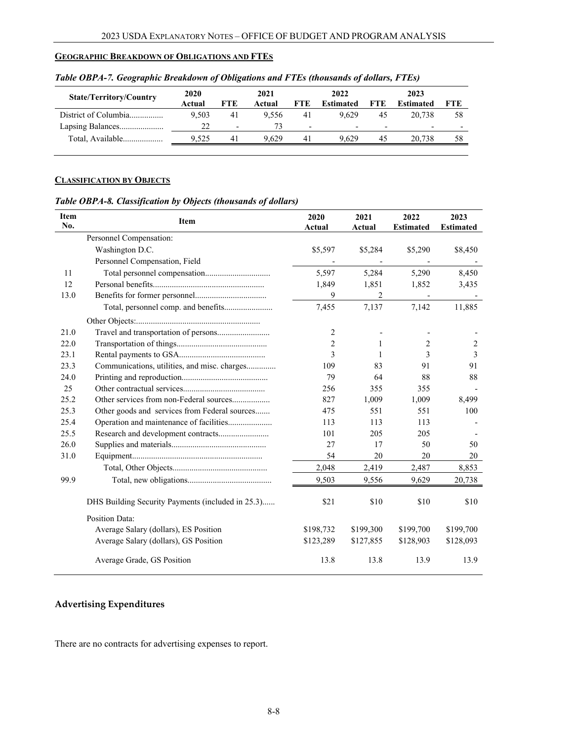# <span id="page-7-0"></span>**GEOGRAPHIC BREAKDOWN OF OBLIGATIONS AND FTES**

<span id="page-7-1"></span>

| <b>State/Territory/Country</b> | 2020<br>Actual | <b>FTE</b>               | 2021<br>Actual | FTE.                     | 2022<br>Estimated        | <b>FTE</b>               | 2023<br><b>Estimated</b> | FTE                      |
|--------------------------------|----------------|--------------------------|----------------|--------------------------|--------------------------|--------------------------|--------------------------|--------------------------|
| District of Columbia           | 9.503          | 41                       | 9.556          | 41                       | 9.629                    | 45                       | 20.738                   | 58                       |
|                                | 22.            | $\overline{\phantom{a}}$ | 73             | $\overline{\phantom{0}}$ | $\overline{\phantom{0}}$ | $\overline{\phantom{0}}$ | -                        | $\overline{\phantom{a}}$ |
| Total, Available               | 9.525          | 41                       | 9.629          | 41                       | 9.629                    | 45                       | 20.738                   | 58                       |

*Table OBPA-7. Geographic Breakdown of Obligations and FTEs (thousands of dollars, FTEs)*

### **CLASSIFICATION BY OBJECTS**

*Table OBPA-8. Classification by Objects (thousands of dollars)*

| <b>Item</b><br>No. | Item                                              | 2020<br>Actual | 2021<br>Actual | 2022<br><b>Estimated</b> | 2023<br><b>Estimated</b> |
|--------------------|---------------------------------------------------|----------------|----------------|--------------------------|--------------------------|
|                    | Personnel Compensation:                           |                |                |                          |                          |
|                    | Washington D.C.                                   | \$5,597        | \$5,284        | \$5,290                  | \$8,450                  |
|                    | Personnel Compensation, Field                     |                |                |                          |                          |
| 11                 |                                                   | 5,597          | 5,284          | 5,290                    | 8,450                    |
| 12                 |                                                   | 1,849          | 1,851          | 1,852                    | 3,435                    |
| 13.0               |                                                   | 9              | $\overline{2}$ |                          |                          |
|                    | Total, personnel comp. and benefits               | 7,455          | 7,137          | 7,142                    | 11,885                   |
|                    |                                                   |                |                |                          |                          |
| 21.0               | Travel and transportation of persons              | 2              |                |                          |                          |
| 22.0               |                                                   | $\overline{c}$ | 1              | 2                        | 2                        |
| 23.1               |                                                   | 3              | 1              | 3                        | 3                        |
| 23.3               | Communications, utilities, and misc. charges      | 109            | 83             | 91                       | 91                       |
| 24.0               |                                                   | 79             | 64             | 88                       | 88                       |
| 25                 |                                                   | 256            | 355            | 355                      |                          |
| 25.2               |                                                   | 827            | 1,009          | 1,009                    | 8,499                    |
| 25.3               | Other goods and services from Federal sources     | 475            | 551            | 551                      | 100                      |
| 25.4               | Operation and maintenance of facilities           | 113            | 113            | 113                      |                          |
| 25.5               |                                                   | 101            | 205            | 205                      |                          |
| 26.0               |                                                   | 27             | 17             | 50                       | 50                       |
| 31.0               |                                                   | 54             | 20             | 20                       | 20                       |
|                    |                                                   | 2,048          | 2,419          | 2,487                    | 8,853                    |
| 99.9               |                                                   | 9,503          | 9,556          | 9,629                    | 20,738                   |
|                    | DHS Building Security Payments (included in 25.3) | \$21           | \$10           | \$10                     | \$10                     |
|                    | Position Data:                                    |                |                |                          |                          |
|                    | Average Salary (dollars), ES Position             | \$198,732      | \$199,300      | \$199,700                | \$199,700                |
|                    | Average Salary (dollars), GS Position             | \$123,289      | \$127,855      | \$128,903                | \$128,093                |
|                    | Average Grade, GS Position                        | 13.8           | 13.8           | 13.9                     | 13.9                     |

# **Advertising Expenditures**

There are no contracts for advertising expenses to report.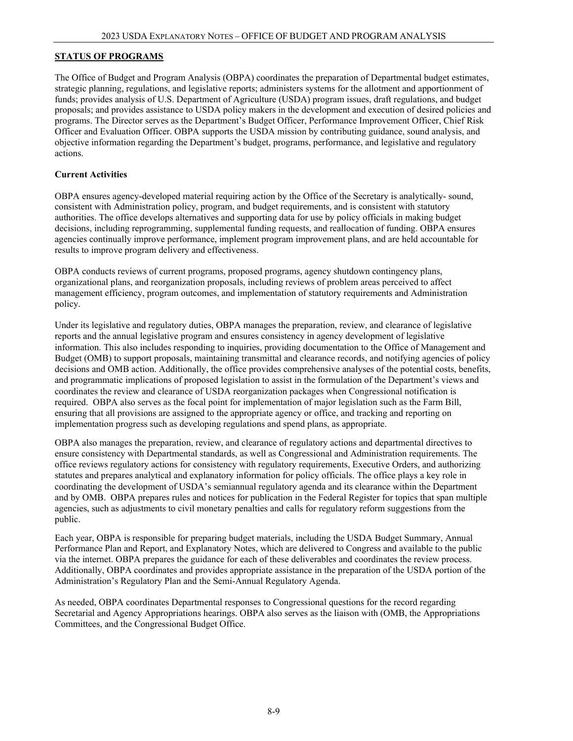# **STATUS OF PROGRAMS**

The Office of Budget and Program Analysis (OBPA) coordinates the preparation of Departmental budget estimates, strategic planning, regulations, and legislative reports; administers systems for the allotment and apportionment of funds; provides analysis of U.S. Department of Agriculture (USDA) program issues, draft regulations, and budget proposals; and provides assistance to USDA policy makers in the development and execution of desired policies and programs. The Director serves as the Department's Budget Officer, Performance Improvement Officer, Chief Risk Officer and Evaluation Officer. OBPA supports the USDA mission by contributing guidance, sound analysis, and objective information regarding the Department's budget, programs, performance, and legislative and regulatory actions.

# **Current Activities**

OBPA ensures agency-developed material requiring action by the Office of the Secretary is analytically- sound, consistent with Administration policy, program, and budget requirements, and is consistent with statutory authorities. The office develops alternatives and supporting data for use by policy officials in making budget decisions, including reprogramming, supplemental funding requests, and reallocation of funding. OBPA ensures agencies continually improve performance, implement program improvement plans, and are held accountable for results to improve program delivery and effectiveness.

OBPA conducts reviews of current programs, proposed programs, agency shutdown contingency plans, organizational plans, and reorganization proposals, including reviews of problem areas perceived to affect management efficiency, program outcomes, and implementation of statutory requirements and Administration policy.

Under its legislative and regulatory duties, OBPA manages the preparation, review, and clearance of legislative reports and the annual legislative program and ensures consistency in agency development of legislative information. This also includes responding to inquiries, providing documentation to the Office of Management and Budget (OMB) to support proposals, maintaining transmittal and clearance records, and notifying agencies of policy decisions and OMB action. Additionally, the office provides comprehensive analyses of the potential costs, benefits, and programmatic implications of proposed legislation to assist in the formulation of the Department's views and coordinates the review and clearance of USDA reorganization packages when Congressional notification is required. OBPA also serves as the focal point for implementation of major legislation such as the Farm Bill, ensuring that all provisions are assigned to the appropriate agency or office, and tracking and reporting on implementation progress such as developing regulations and spend plans, as appropriate.

OBPA also manages the preparation, review, and clearance of regulatory actions and departmental directives to ensure consistency with Departmental standards, as well as Congressional and Administration requirements. The office reviews regulatory actions for consistency with regulatory requirements, Executive Orders, and authorizing statutes and prepares analytical and explanatory information for policy officials. The office plays a key role in coordinating the development of USDA's semiannual regulatory agenda and its clearance within the Department and by OMB. OBPA prepares rules and notices for publication in the Federal Register for topics that span multiple agencies, such as adjustments to civil monetary penalties and calls for regulatory reform suggestions from the public.

Each year, OBPA is responsible for preparing budget materials, including the USDA Budget Summary, Annual Performance Plan and Report, and Explanatory Notes, which are delivered to Congress and available to the public via the internet. OBPA prepares the guidance for each of these deliverables and coordinates the review process. Additionally, OBPA coordinates and provides appropriate assistance in the preparation of the USDA portion of the Administration's Regulatory Plan and the Semi-Annual Regulatory Agenda.

As needed, OBPA coordinates Departmental responses to Congressional questions for the record regarding Secretarial and Agency Appropriations hearings. OBPA also serves as the liaison with (OMB, the Appropriations Committees, and the Congressional Budget Office.